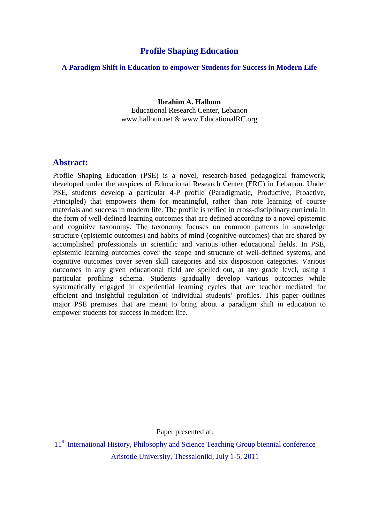# **Profile Shaping Education**

### **A Paradigm Shift in Education to empower Students for Success in Modern Life**

**Ibrahim A. Halloun** Educational Research Center, Lebanon www.halloun.net & www.EducationalRC.org

## **Abstract:**

Profile Shaping Education (PSE) is a novel, research-based pedagogical framework, developed under the auspices of Educational Research Center (ERC) in Lebanon. Under PSE, students develop a particular 4-P profile (Paradigmatic, Productive, Proactive, Principled) that empowers them for meaningful, rather than rote learning of course materials and success in modern life. The profile is reified in cross-disciplinary curricula in the form of well-defined learning outcomes that are defined according to a novel epistemic and cognitive taxonomy. The taxonomy focuses on common patterns in knowledge structure (epistemic outcomes) and habits of mind (cognitive outcomes) that are shared by accomplished professionals in scientific and various other educational fields. In PSE, epistemic learning outcomes cover the scope and structure of well-defined systems, and cognitive outcomes cover seven skill categories and six disposition categories. Various outcomes in any given educational field are spelled out, at any grade level, using a particular profiling schema. Students gradually develop various outcomes while systematically engaged in experiential learning cycles that are teacher mediated for efficient and insightful regulation of individual students" profiles. This paper outlines major PSE premises that are meant to bring about a paradigm shift in education to empower students for success in modern life.

Paper presented at:

11<sup>th</sup> International History, Philosophy and Science Teaching Group biennial conference Aristotle University, Thessaloniki, July 1-5, 2011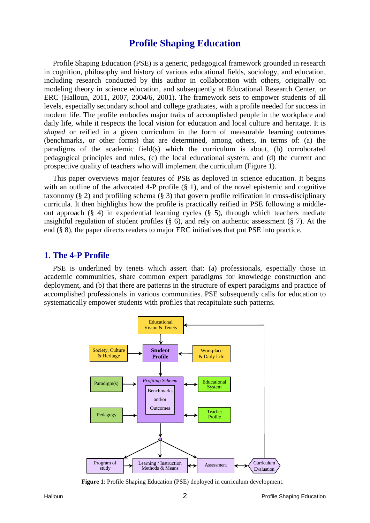# **Profile Shaping Education**

Profile Shaping Education (PSE) is a generic, pedagogical framework grounded in research in cognition, philosophy and history of various educational fields, sociology, and education, including research conducted by this author in collaboration with others, originally on modeling theory in science education, and subsequently at Educational Research Center, or ERC (Halloun, 2011, 2007, 2004/6, 2001). The framework sets to empower students of all levels, especially secondary school and college graduates, with a profile needed for success in modern life. The profile embodies major traits of accomplished people in the workplace and daily life, while it respects the local vision for education and local culture and heritage. It is *shaped* or reified in a given curriculum in the form of measurable learning outcomes (benchmarks, or other forms) that are determined, among others, in terms of: (a) the paradigms of the academic field(s) which the curriculum is about, (b) corroborated pedagogical principles and rules, (c) the local educational system, and (d) the current and prospective quality of teachers who will implement the curriculum (Figure 1).

This paper overviews major features of PSE as deployed in science education. It begins with an outline of the advocated 4-P profile  $(\S$  1), and of the novel epistemic and cognitive taxonomy (§ 2) and profiling schema (§ 3) that govern profile reification in cross-disciplinary curricula. It then highlights how the profile is practically reified in PSE following a middleout approach (§ 4) in experiential learning cycles (§ 5), through which teachers mediate insightful regulation of student profiles (§ 6), and rely on authentic assessment (§ 7). At the end (§ 8), the paper directs readers to major ERC initiatives that put PSE into practice.

## **1. The 4-P Profile**

PSE is underlined by tenets which assert that: (a) professionals, especially those in academic communities, share common expert paradigms for knowledge construction and deployment, and (b) that there are patterns in the structure of expert paradigms and practice of accomplished professionals in various communities. PSE subsequently calls for education to systematically empower students with profiles that recapitulate such patterns.



**Figure 1**: Profile Shaping Education (PSE) deployed in curriculum development.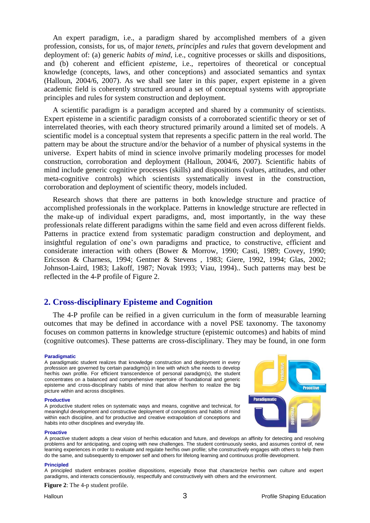An expert paradigm, i.e., a paradigm shared by accomplished members of a given profession, consists, for us, of major *tenets*, *principles* and *rules* that govern development and deployment of: (a) generic *habits of mind*, i.e., cognitive processes or skills and dispositions, and (b) coherent and efficient *episteme*, i.e., repertoires of theoretical or conceptual knowledge (concepts, laws, and other conceptions) and associated semantics and syntax (Halloun, 2004/6, 2007). As we shall see later in this paper, expert episteme in a given academic field is coherently structured around a set of conceptual systems with appropriate principles and rules for system construction and deployment.

A scientific paradigm is a paradigm accepted and shared by a community of scientists. Expert episteme in a scientific paradigm consists of a corroborated scientific theory or set of interrelated theories, with each theory structured primarily around a limited set of models. A scientific model is a conceptual system that represents a specific pattern in the real world. The pattern may be about the structure and/or the behavior of a number of physical systems in the universe. Expert habits of mind in science involve primarily modeling processes for model construction, corroboration and deployment (Halloun, 2004/6, 2007). Scientific habits of mind include generic cognitive processes (skills) and dispositions (values, attitudes, and other meta-cognitive controls) which scientists systematically invest in the construction, corroboration and deployment of scientific theory, models included.

Research shows that there are patterns in both knowledge structure and practice of accomplished professionals in the workplace. Patterns in knowledge structure are reflected in the make-up of individual expert paradigms, and, most importantly, in the way these professionals relate different paradigms within the same field and even across different fields. Patterns in practice extend from systematic paradigm construction and deployment, and insightful regulation of one"s own paradigms and practice, to constructive, efficient and considerate interaction with others (Bower & Morrow, 1990; Casti, 1989; Covey, 1990; Ericsson & Charness, 1994; Gentner & Stevens , 1983; Giere, 1992, 1994; Glas, 2002; Johnson-Laird, 1983; Lakoff, 1987; Novak 1993; Viau, 1994).. Such patterns may best be reflected in the 4-P profile of Figure 2.

## **2. Cross-disciplinary Episteme and Cognition**

The 4-P profile can be reified in a given curriculum in the form of measurable learning outcomes that may be defined in accordance with a novel PSE taxonomy. The taxonomy focuses on common patterns in knowledge structure (epistemic outcomes) and habits of mind (cognitive outcomes). These patterns are cross-disciplinary. They may be found, in one form

### **Paradigmatic**

A paradigmatic student realizes that knowledge construction and deployment in every profession are governed by certain paradigm(s) in line with which s/he needs to develop her/his own profile. For efficient transcendence of personal paradigm(s), the student concentrates on a balanced and comprehensive repertoire of foundational and generic episteme and cross-disciplinary habits of mind that allow her/him to realize the big picture within and across disciplines.

### **Productive**

A productive student relies on systematic ways and means, cognitive and technical, for meaningful development and constructive deployment of conceptions and habits of mind within each discipline, and for productive and creative extrapolation of conceptions and habits into other disciplines and everyday life.



#### **Proactive**

A proactive student adopts a clear vision of her/his education and future, and develops an affinity for detecting and resolving problems and for anticipating, and coping with new challenges. The student continuously seeks, and assumes control of, new learning experiences in order to evaluate and regulate her/his own profile; s/he constructively engages with others to help them do the same, and subsequently to empower self and others for lifelong learning and continuous profile development.

### **Principled**

A principled student embraces positive dispositions, especially those that characterize her/his own culture and expert paradigms, and interacts conscientiously, respectfully and constructively with others and the environment.

**Figure 2**: The 4-p student profile.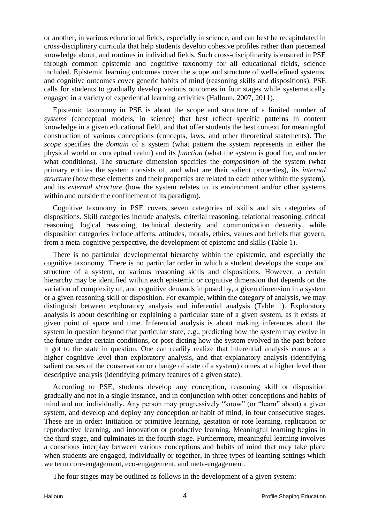or another, in various educational fields, especially in science, and can best be recapitulated in cross-disciplinary curricula that help students develop cohesive profiles rather than piecemeal knowledge about, and routines in individual fields. Such cross-disciplinarity is ensured in PSE through common epistemic and cognitive taxonomy for all educational fields, science included. Epistemic learning outcomes cover the scope and structure of well-defined systems, and cognitive outcomes cover generic habits of mind (reasoning skills and dispositions). PSE calls for students to gradually develop various outcomes in four stages while systematically engaged in a variety of experiential learning activities (Halloun, 2007, 2011).

Epistemic taxonomy in PSE is about the scope and structure of a limited number of *systems* (conceptual models, in science) that best reflect specific patterns in content knowledge in a given educational field, and that offer students the best context for meaningful construction of various conceptions (concepts, laws, and other theoretical statements). The *scope* specifies the *domain* of a system (what pattern the system represents in either the physical world or conceptual realm) and its *function* (what the system is good for, and under what conditions). The *structure* dimension specifies the *composition* of the system (what primary entities the system consists of, and what are their salient properties), its *internal structure* (how these elements and their properties are related to each other within the system), and its *external structure* (how the system relates to its environment and/or other systems within and outside the confinement of its paradigm).

Cognitive taxonomy in PSE covers seven categories of skills and six categories of dispositions. Skill categories include analysis, criterial reasoning, relational reasoning, critical reasoning, logical reasoning, technical dexterity and communication dexterity, while disposition categories include affects, attitudes, morals, ethics, values and beliefs that govern, from a meta-cognitive perspective, the development of episteme and skills (Table 1).

There is no particular developmental hierarchy within the epistemic, and especially the cognitive taxonomy. There is no particular order in which a student develops the scope and structure of a system, or various reasoning skills and dispositions. However, a certain hierarchy may be identified within each epistemic or cognitive dimension that depends on the variation of complexity of, and cognitive demands imposed by, a given dimension in a system or a given reasoning skill or disposition. For example, within the category of analysis, we may distinguish between exploratory analysis and inferential analysis (Table 1). Exploratory analysis is about describing or explaining a particular state of a given system, as it exists at given point of space and time. Inferential analysis is about making inferences about the system in question beyond that particular state, e.g., predicting how the system may evolve in the future under certain conditions, or post-dicting how the system evolved in the past before it got to the state in question. One can readily realize that inferential analysis comes at a higher cognitive level than exploratory analysis, and that explanatory analysis (identifying salient causes of the conservation or change of state of a system) comes at a higher level than descriptive analysis (identifying primary features of a given state).

According to PSE, students develop any conception, reasoning skill or disposition gradually and not in a single instance, and in conjunction with other conceptions and habits of mind and not individually. Any person may progressively "know" (or "learn" about) a given system, and develop and deploy any conception or habit of mind, in four consecutive stages. These are in order: Initiation or primitive learning, gestation or rote learning, replication or reproductive learning, and innovation or productive learning. Meaningful learning begins in the third stage, and culminates in the fourth stage. Furthermore, meaningful learning involves a conscious interplay between various conceptions and habits of mind that may take place when students are engaged, individually or together, in three types of learning settings which we term core-engagement, eco-engagement, and meta-engagement.

The four stages may be outlined as follows in the development of a given system: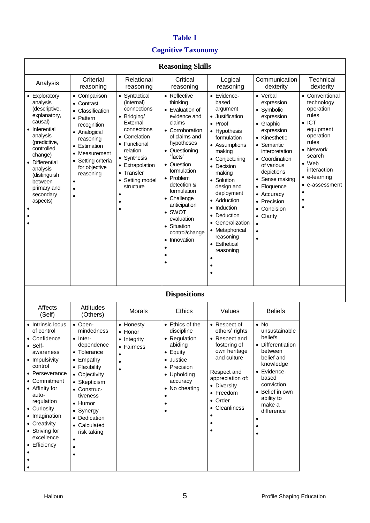# **Table 1**

# **Cognitive Taxonomy**

| <b>Reasoning Skills</b>                                                                                                                                                                                                                                                              |                                                                                                                                                                                                                                                                                          |                                                                                                                                                                                                                 |                                                                                                                                                                                                                                                                                                                                     |                                                                                                                                                                                                                                                                                                                                                                 |                                                                                                                                                                                                                                                                                                               |                                                                                                                                                                                                                                                    |  |
|--------------------------------------------------------------------------------------------------------------------------------------------------------------------------------------------------------------------------------------------------------------------------------------|------------------------------------------------------------------------------------------------------------------------------------------------------------------------------------------------------------------------------------------------------------------------------------------|-----------------------------------------------------------------------------------------------------------------------------------------------------------------------------------------------------------------|-------------------------------------------------------------------------------------------------------------------------------------------------------------------------------------------------------------------------------------------------------------------------------------------------------------------------------------|-----------------------------------------------------------------------------------------------------------------------------------------------------------------------------------------------------------------------------------------------------------------------------------------------------------------------------------------------------------------|---------------------------------------------------------------------------------------------------------------------------------------------------------------------------------------------------------------------------------------------------------------------------------------------------------------|----------------------------------------------------------------------------------------------------------------------------------------------------------------------------------------------------------------------------------------------------|--|
| Analysis                                                                                                                                                                                                                                                                             | Criterial<br>reasoning                                                                                                                                                                                                                                                                   | Relational<br>reasoning                                                                                                                                                                                         | Critical<br>reasoning                                                                                                                                                                                                                                                                                                               | Logical<br>reasoning                                                                                                                                                                                                                                                                                                                                            | Communication<br>dexterity                                                                                                                                                                                                                                                                                    | Technical<br>dexterity                                                                                                                                                                                                                             |  |
| Exploratory<br>analysis<br>(descriptive,<br>explanatory,<br>causal)<br>Inferential<br>analysis<br>(predictive,<br>controlled<br>change)<br>Differential<br>analysis<br>(distinguish<br>between<br>primary and<br>secondary<br>aspects)                                               | Comparison<br>$\bullet$<br>Contrast<br>$\bullet$<br>Classification<br>$\bullet$<br>• Pattern<br>recognition<br>• Analogical<br>reasoning<br>Estimation<br>$\bullet$<br>Measurement<br>$\bullet$<br>Setting criteria<br>$\bullet$<br>for objective<br>reasoning<br>$\bullet$<br>$\bullet$ | • Syntactical<br>(internal)<br>connections<br>• Bridging/<br>External<br>connections<br>• Correlation<br>• Functional<br>relation<br>• Synthesis<br>• Extrapolation<br>• Transfer<br>Setting model<br>structure | • Reflective<br>thinking<br>• Evaluation of<br>evidence and<br>claims<br>• Corroboration<br>of claims and<br>hypotheses<br>• Questioning<br>"facts"<br>• Question<br>formulation<br>• Problem<br>detection &<br>formulation<br>• Challenge<br>anticipation<br>• SWOT<br>evaluation<br>• Situation<br>control/change<br>• Innovation | • Evidence-<br>based<br>argument<br>• Justification<br>• Proof<br>• Hypothesis<br>formulation<br>• Assumptions<br>making<br>• Conjecturing<br>• Decision<br>making<br>• Solution<br>design and<br>deployment<br>• Adduction<br>Induction<br>$\bullet$<br>Deduction<br>$\bullet$<br>• Generalization<br>• Metaphorical<br>reasoning<br>• Esthetical<br>reasoning | • Verbal<br>expression<br>• Symbolic<br>expression<br>• Graphic<br>expression<br>• Kinesthetic<br>• Semantic<br>interpretation<br>• Coordination<br>of various<br>depictions<br>• Sense making<br>• Eloquence<br>• Accuracy<br>• Precision<br>• Concision<br>• Clarity<br>$\bullet$<br>$\bullet$<br>$\bullet$ | • Conventional<br>technology<br>operation<br>rules<br>$\bullet$ ICT<br>equipment<br>operation<br>rules<br>Network<br>$\bullet$<br>search<br>$\bullet$ Web<br>interaction<br>e-learning<br>e-assessment<br>٠<br>$\bullet$<br>$\bullet$<br>$\bullet$ |  |
| <b>Dispositions</b>                                                                                                                                                                                                                                                                  |                                                                                                                                                                                                                                                                                          |                                                                                                                                                                                                                 |                                                                                                                                                                                                                                                                                                                                     |                                                                                                                                                                                                                                                                                                                                                                 |                                                                                                                                                                                                                                                                                                               |                                                                                                                                                                                                                                                    |  |
| <b>Affects</b><br>(Self)                                                                                                                                                                                                                                                             | Attitudes<br>(Others)                                                                                                                                                                                                                                                                    | Morals                                                                                                                                                                                                          | <b>Ethics</b>                                                                                                                                                                                                                                                                                                                       | Values                                                                                                                                                                                                                                                                                                                                                          | <b>Beliefs</b>                                                                                                                                                                                                                                                                                                |                                                                                                                                                                                                                                                    |  |
| Intrinsic locus<br>of control<br>• Confidence<br>$\bullet$ Self-<br>awareness<br>• Impulsivity<br>control<br>• Perseverance<br>• Commitment<br>• Affinity for<br>auto-<br>regulation<br>• Curiosity<br>• Imagination<br>• Creativity<br>• Striving for<br>excellence<br>• Efficiency | • Open-<br>mindedness<br>$\bullet$ Inter-<br>dependence<br>• Tolerance<br>$\bullet$ Empathy<br>• Flexibility<br>• Objectivity<br>• Skepticism<br>• Construc-<br>tiveness<br>• Humor<br>• Synergy<br>• Dedication<br>• Calculated<br>risk taking                                          | Honesty<br>$\bullet$ Honor<br>• Integrity<br>• Fairness                                                                                                                                                         | • Ethics of the<br>discipline<br>• Regulation<br>abiding<br>$\bullet$ Equity<br>• Justice<br>• Precision<br>• Upholding<br>accuracy<br>• No cheating                                                                                                                                                                                | • Respect of<br>others' rights<br>• Respect and<br>fostering of<br>own heritage<br>and culture<br>Respect and<br>appreciation of:<br>• Diversity<br>• Freedom<br>• Order<br>• Cleanliness                                                                                                                                                                       | $\bullet$ No<br>unsustainable<br>beliefs<br>• Differentiation<br>between<br>belief and<br>knowledge<br>• Evidence-<br>based<br>conviction<br>• Belief in own<br>ability to<br>make a<br>difference                                                                                                            |                                                                                                                                                                                                                                                    |  |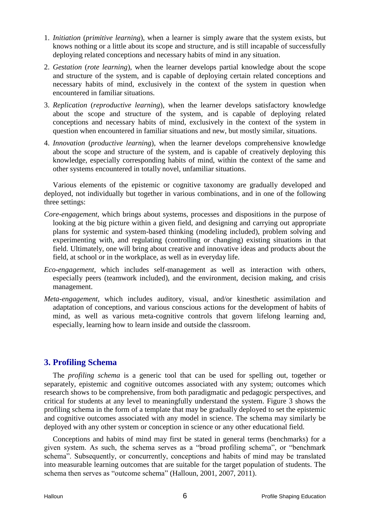- 1. *Initiation* (*primitive learning*), when a learner is simply aware that the system exists, but knows nothing or a little about its scope and structure, and is still incapable of successfully deploying related conceptions and necessary habits of mind in any situation.
- 2. *Gestation* (*rote learning*), when the learner develops partial knowledge about the scope and structure of the system, and is capable of deploying certain related conceptions and necessary habits of mind, exclusively in the context of the system in question when encountered in familiar situations.
- 3. *Replication* (*reproductive learning*), when the learner develops satisfactory knowledge about the scope and structure of the system, and is capable of deploying related conceptions and necessary habits of mind, exclusively in the context of the system in question when encountered in familiar situations and new, but mostly similar, situations.
- 4. *Innovation* (*productive learning*), when the learner develops comprehensive knowledge about the scope and structure of the system, and is capable of creatively deploying this knowledge, especially corresponding habits of mind, within the context of the same and other systems encountered in totally novel, unfamiliar situations.

Various elements of the epistemic or cognitive taxonomy are gradually developed and deployed, not individually but together in various combinations, and in one of the following three settings:

- *Core-engagement*, which brings about systems, processes and dispositions in the purpose of looking at the big picture within a given field, and designing and carrying out appropriate plans for systemic and system-based thinking (modeling included), problem solving and experimenting with, and regulating (controlling or changing) existing situations in that field. Ultimately, one will bring about creative and innovative ideas and products about the field, at school or in the workplace, as well as in everyday life.
- *Eco-engagement*, which includes self-management as well as interaction with others, especially peers (teamwork included), and the environment, decision making, and crisis management.
- *Meta-engagement*, which includes auditory, visual, and/or kinesthetic assimilation and adaptation of conceptions, and various conscious actions for the development of habits of mind, as well as various meta-cognitive controls that govern lifelong learning and, especially, learning how to learn inside and outside the classroom.

# **3. Profiling Schema**

The *profiling schema* is a generic tool that can be used for spelling out, together or separately, epistemic and cognitive outcomes associated with any system; outcomes which research shows to be comprehensive, from both paradigmatic and pedagogic perspectives, and critical for students at any level to meaningfully understand the system. Figure 3 shows the profiling schema in the form of a template that may be gradually deployed to set the epistemic and cognitive outcomes associated with any model in science. The schema may similarly be deployed with any other system or conception in science or any other educational field.

Conceptions and habits of mind may first be stated in general terms (benchmarks) for a given system. As such, the schema serves as a "broad profiling schema", or "benchmark schema". Subsequently, or concurrently, conceptions and habits of mind may be translated into measurable learning outcomes that are suitable for the target population of students. The schema then serves as "outcome schema" (Halloun, 2001, 2007, 2011).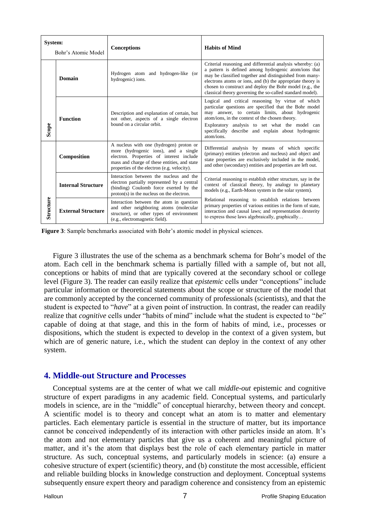| System:<br>Bohr's Atomic Model |                           | <b>Conceptions</b>                                                                                                                                                                                                         | <b>Habits of Mind</b>                                                                                                                                                                                                                                                                                                                                                |  |
|--------------------------------|---------------------------|----------------------------------------------------------------------------------------------------------------------------------------------------------------------------------------------------------------------------|----------------------------------------------------------------------------------------------------------------------------------------------------------------------------------------------------------------------------------------------------------------------------------------------------------------------------------------------------------------------|--|
| Scope                          | Domain                    | Hydrogen atom and hydrogen-like (or<br>hydrogenic) ions.                                                                                                                                                                   | Criterial reasoning and differential analysis whereby: (a)<br>a pattern is defined among hydrogenic atom/ions that<br>may be classified together and distinguished from many-<br>electrons atoms or ions, and (b) the appropriate theory is<br>chosen to construct and deploy the Bohr model (e.g., the<br>classical theory governing the so-called standard model). |  |
|                                | <b>Function</b>           | Description and explanation of certain, but<br>not other, aspects of a single electron<br>bound on a circular orbit.                                                                                                       | Logical and critical reasoning by virtue of which<br>particular questions are specified that the Bohr model<br>may answer, to certain limits, about hydrogenic<br>atom/ions, in the context of the chosen theory.<br>Exploratory analysis to set what the model can<br>specifically describe and explain about hydrogenic<br>atom/ions.                              |  |
| Structure                      | Composition               | A nucleus with one (hydrogen) proton or<br>more (hydrogenic ions), and a single<br>electron. Properties of interest include<br>mass and charge of these entities, and state<br>properties of the electron (e.g. velocity). | Differential analysis by means of which specific<br>(primary) entities (electron and nucleus) and object and<br>state properties are exclusively included in the model,<br>and other (secondary) entities and properties are left out.                                                                                                                               |  |
|                                | <b>Internal Structure</b> | Interaction between the nucleus and the<br>electron partially represented by a central<br>(binding) Coulomb force exerted by the<br>$proton(s)$ in the nucleus on the electron.                                            | Criterial reasoning to establish either structure, say in the<br>context of classical theory, by analogy to planetary<br>models (e.g., Earth-Moon system in the solar system).                                                                                                                                                                                       |  |
|                                | <b>External Structure</b> | Interaction between the atom in question<br>and other neighboring atoms (molecular<br>structure), or other types of environment<br>(e.g., electromagnetic field).                                                          | Relational reasoning to establish relations between<br>primary properties of various entities in the form of state,<br>interaction and causal laws; and representation dexterity<br>to express those laws algebraically, graphically                                                                                                                                 |  |

Figure 3: Sample benchmarks associated with Bohr's atomic model in physical sciences.

Figure 3 illustrates the use of the schema as a benchmark schema for Bohr"s model of the atom. Each cell in the benchmark schema is partially filled with a sample of, but not all, conceptions or habits of mind that are typically covered at the secondary school or college level (Figure 3). The reader can easily realize that *epistemic* cells under "conceptions" include particular information or theoretical statements about the scope or structure of the model that are commonly accepted by the concerned community of professionals (scientists), and that the student is expected to "*have*" at a given point of instruction. In contrast, the reader can readily realize that *cognitive* cells under "habits of mind" include what the student is expected to "*be*" capable of doing at that stage, and this in the form of habits of mind, i.e., processes or dispositions, which the student is expected to develop in the context of a given system, but which are of generic nature, i.e., which the student can deploy in the context of any other system.

## **4. Middle-out Structure and Processes**

Conceptual systems are at the center of what we call *middle-out* epistemic and cognitive structure of expert paradigms in any academic field. Conceptual systems, and particularly models in science, are in the "middle" of conceptual hierarchy, between theory and concept. A scientific model is to theory and concept what an atom is to matter and elementary particles. Each elementary particle is essential in the structure of matter, but its importance cannot be conceived independently of its interaction with other particles inside an atom. It's the atom and not elementary particles that give us a coherent and meaningful picture of matter, and it's the atom that displays best the role of each elementary particle in matter structure. As such, conceptual systems, and particularly models in science: (a) ensure a cohesive structure of expert (scientific) theory, and (b) constitute the most accessible, efficient and reliable building blocks in knowledge construction and deployment. Conceptual systems subsequently ensure expert theory and paradigm coherence and consistency from an epistemic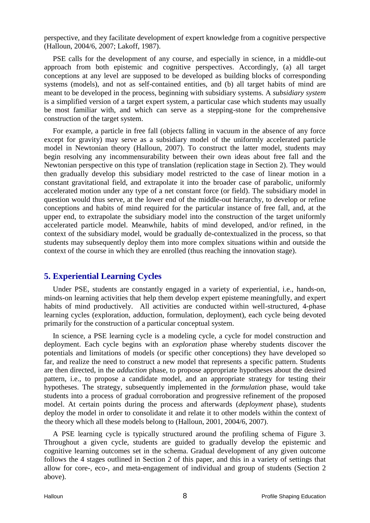perspective, and they facilitate development of expert knowledge from a cognitive perspective (Halloun, 2004/6, 2007; Lakoff, 1987).

PSE calls for the development of any course, and especially in science, in a middle-out approach from both epistemic and cognitive perspectives. Accordingly, (a) all target conceptions at any level are supposed to be developed as building blocks of corresponding systems (models), and not as self-contained entities, and (b) all target habits of mind are meant to be developed in the process, beginning with subsidiary systems. A *subsidiary system* is a simplified version of a target expert system, a particular case which students may usually be most familiar with, and which can serve as a stepping-stone for the comprehensive construction of the target system.

For example, a particle in free fall (objects falling in vacuum in the absence of any force except for gravity) may serve as a subsidiary model of the uniformly accelerated particle model in Newtonian theory (Halloun, 2007). To construct the latter model, students may begin resolving any incommensurability between their own ideas about free fall and the Newtonian perspective on this type of translation (replication stage in Section 2). They would then gradually develop this subsidiary model restricted to the case of linear motion in a constant gravitational field, and extrapolate it into the broader case of parabolic, uniformly accelerated motion under any type of a net constant force (or field). The subsidiary model in question would thus serve, at the lower end of the middle-out hierarchy, to develop or refine conceptions and habits of mind required for the particular instance of free fall, and, at the upper end, to extrapolate the subsidiary model into the construction of the target uniformly accelerated particle model. Meanwhile, habits of mind developed, and/or refined, in the context of the subsidiary model, would be gradually de-contextualized in the process, so that students may subsequently deploy them into more complex situations within and outside the context of the course in which they are enrolled (thus reaching the innovation stage).

# **5. Experiential Learning Cycles**

Under PSE, students are constantly engaged in a variety of experiential, i.e., hands-on, minds-on learning activities that help them develop expert episteme meaningfully, and expert habits of mind productively. All activities are conducted within well-structured, 4-phase learning cycles (exploration, adduction, formulation, deployment), each cycle being devoted primarily for the construction of a particular conceptual system.

In science, a PSE learning cycle is a modeling cycle, a cycle for model construction and deployment. Each cycle begins with an *exploration* phase whereby students discover the potentials and limitations of models (or specific other conceptions) they have developed so far, and realize the need to construct a new model that represents a specific pattern. Students are then directed, in the *adduction* phase, to propose appropriate hypotheses about the desired pattern, i.e., to propose a candidate model, and an appropriate strategy for testing their hypotheses. The strategy, subsequently implemented in the *formulation* phase, would take students into a process of gradual corroboration and progressive refinement of the proposed model. At certain points during the process and afterwards (*deployment* phase), students deploy the model in order to consolidate it and relate it to other models within the context of the theory which all these models belong to (Halloun, 2001, 2004/6, 2007).

A PSE learning cycle is typically structured around the profiling schema of Figure 3. Throughout a given cycle, students are guided to gradually develop the epistemic and cognitive learning outcomes set in the schema. Gradual development of any given outcome follows the 4 stages outlined in Section 2 of this paper, and this in a variety of settings that allow for core-, eco-, and meta-engagement of individual and group of students (Section 2 above).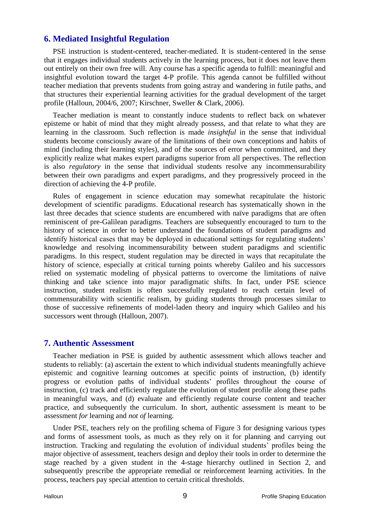# **6. Mediated Insightful Regulation**

PSE instruction is student-centered, teacher-mediated. It is student-centered in the sense that it engages individual students actively in the learning process, but it does not leave them out entirely on their own free will. Any course has a specific agenda to fulfill: meaningful and insightful evolution toward the target 4-P profile. This agenda cannot be fulfilled without teacher mediation that prevents students from going astray and wandering in futile paths, and that structures their experiential learning activities for the gradual development of the target profile (Halloun, 2004/6, 2007; Kirschner, Sweller & Clark, 2006).

Teacher mediation is meant to constantly induce students to reflect back on whatever episteme or habit of mind that they might already possess, and that relate to what they are learning in the classroom. Such reflection is made *insightful* in the sense that individual students become consciously aware of the limitations of their own conceptions and habits of mind (including their learning styles), and of the sources of error when committed, and they explicitly realize what makes expert paradigms superior from all perspectives. The reflection is also *regulatory* in the sense that individual students resolve any incommensurability between their own paradigms and expert paradigms, and they progressively proceed in the direction of achieving the 4-P profile.

Rules of engagement in science education may somewhat recapitulate the historic development of scientific paradigms. Educational research has systematically shown in the last three decades that science students are encumbered with naïve paradigms that are often reminiscent of pre-Galilean paradigms. Teachers are subsequently encouraged to turn to the history of science in order to better understand the foundations of student paradigms and identify historical cases that may be deployed in educational settings for regulating students' knowledge and resolving incommensurability between student paradigms and scientific paradigms. In this respect, student regulation may be directed in ways that recapitulate the history of science, especially at critical turning points whereby Galileo and his successors relied on systematic modeling of physical patterns to overcome the limitations of naïve thinking and take science into major paradigmatic shifts. In fact, under PSE science instruction, student realism is often successfully regulated to reach certain level of commensurability with scientific realism, by guiding students through processes similar to those of successive refinements of model-laden theory and inquiry which Galileo and his successors went through (Halloun, 2007).

## **7. Authentic Assessment**

Teacher mediation in PSE is guided by authentic assessment which allows teacher and students to reliably: (a) ascertain the extent to which individual students meaningfully achieve epistemic and cognitive learning outcomes at specific points of instruction, (b) identify progress or evolution paths of individual students" profiles throughout the course of instruction, (c) track and efficiently regulate the evolution of student profile along these paths in meaningful ways, and (d) evaluate and efficiently regulate course content and teacher practice, and subsequently the curriculum. In short, authentic assessment is meant to be assessment *for* learning and *not of* learning.

Under PSE, teachers rely on the profiling schema of Figure 3 for designing various types and forms of assessment tools, as much as they rely on it for planning and carrying out instruction. Tracking and regulating the evolution of individual students' profiles being the major objective of assessment, teachers design and deploy their tools in order to determine the stage reached by a given student in the 4-stage hierarchy outlined in Section 2, and subsequently prescribe the appropriate remedial or reinforcement learning activities. In the process, teachers pay special attention to certain critical thresholds.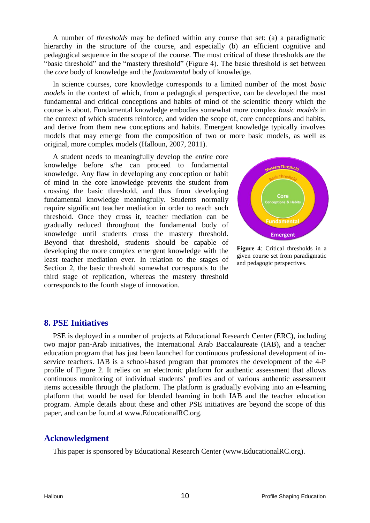A number of *thresholds* may be defined within any course that set: (a) a paradigmatic hierarchy in the structure of the course, and especially (b) an efficient cognitive and pedagogical sequence in the scope of the course. The most critical of these thresholds are the "basic threshold" and the "mastery threshold" (Figure 4). The basic threshold is set between the *core* body of knowledge and the *fundamental* body of knowledge.

In science courses, core knowledge corresponds to a limited number of the most *basic models* in the context of which, from a pedagogical perspective, can be developed the most fundamental and critical conceptions and habits of mind of the scientific theory which the course is about. Fundamental knowledge embodies somewhat more complex *basic models* in the context of which students reinforce, and widen the scope of, core conceptions and habits, and derive from them new conceptions and habits. Emergent knowledge typically involves models that may emerge from the composition of two or more basic models, as well as original, more complex models (Halloun, 2007, 2011).

A student needs to meaningfully develop the *entire* core knowledge before s/he can proceed to fundamental knowledge. Any flaw in developing any conception or habit of mind in the core knowledge prevents the student from crossing the basic threshold, and thus from developing fundamental knowledge meaningfully. Students normally require significant teacher mediation in order to reach such threshold. Once they cross it, teacher mediation can be gradually reduced throughout the fundamental body of knowledge until students cross the mastery threshold. Beyond that threshold, students should be capable of developing the more complex emergent knowledge with the least teacher mediation ever. In relation to the stages of Section 2, the basic threshold somewhat corresponds to the third stage of replication, whereas the mastery threshold corresponds to the fourth stage of innovation.



**Figure 4**: Critical thresholds in a given course set from paradigmatic and pedagogic perspectives.

## **8. PSE Initiatives**

PSE is deployed in a number of projects at Educational Research Center (ERC), including two major pan-Arab initiatives, the International Arab Baccalaureate (IAB), and a teacher education program that has just been launched for continuous professional development of inservice teachers. IAB is a school-based program that promotes the development of the 4-P profile of Figure 2. It relies on an electronic platform for authentic assessment that allows continuous monitoring of individual students" profiles and of various authentic assessment items accessible through the platform. The platform is gradually evolving into an e-learning platform that would be used for blended learning in both IAB and the teacher education program. Ample details about these and other PSE initiatives are beyond the scope of this paper, and can be found at www.EducationalRC.org.

# **Acknowledgment**

This paper is sponsored by Educational Research Center (www.EducationalRC.org).